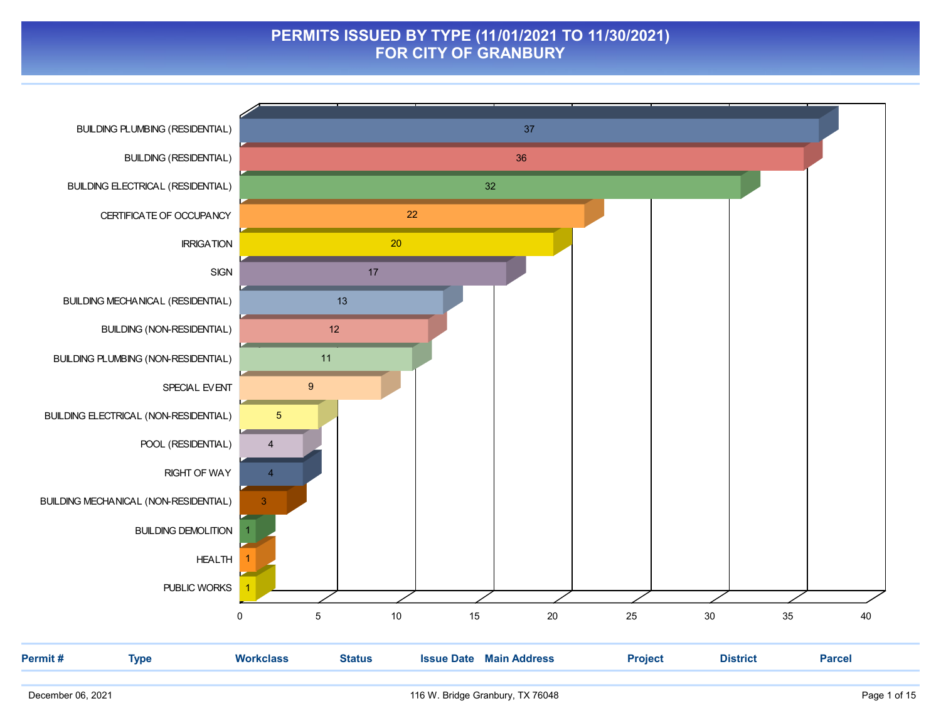#### PERMITS ISSUED BY TYPE (11/01/2021 TO 11/30/2021) FOR CITY OF GRANBURY

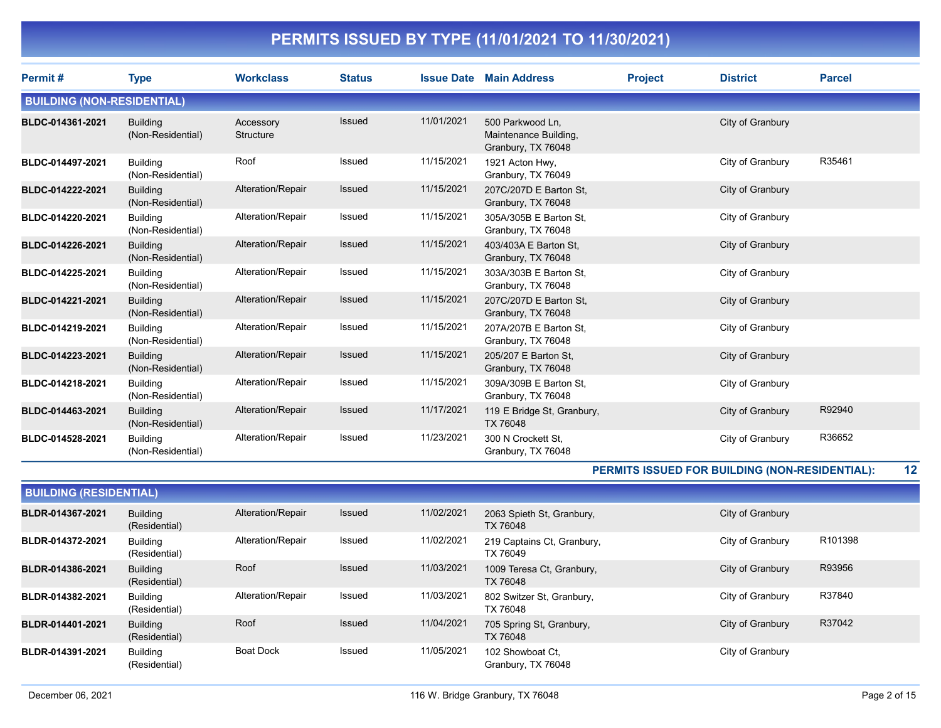| Permit#                           | <b>Type</b>                          | <b>Workclass</b>       | <b>Status</b> |            | <b>Issue Date Main Address</b>                                  | <b>Project</b> | <b>District</b>  | <b>Parcel</b> |
|-----------------------------------|--------------------------------------|------------------------|---------------|------------|-----------------------------------------------------------------|----------------|------------------|---------------|
| <b>BUILDING (NON-RESIDENTIAL)</b> |                                      |                        |               |            |                                                                 |                |                  |               |
| BLDC-014361-2021                  | <b>Building</b><br>(Non-Residential) | Accessory<br>Structure | Issued        | 11/01/2021 | 500 Parkwood Ln,<br>Maintenance Building,<br>Granbury, TX 76048 |                | City of Granbury |               |
| BLDC-014497-2021                  | <b>Building</b><br>(Non-Residential) | Roof                   | Issued        | 11/15/2021 | 1921 Acton Hwy,<br>Granbury, TX 76049                           |                | City of Granbury | R35461        |
| BLDC-014222-2021                  | <b>Building</b><br>(Non-Residential) | Alteration/Repair      | Issued        | 11/15/2021 | 207C/207D E Barton St,<br>Granbury, TX 76048                    |                | City of Granbury |               |
| BLDC-014220-2021                  | <b>Building</b><br>(Non-Residential) | Alteration/Repair      | Issued        | 11/15/2021 | 305A/305B E Barton St,<br>Granbury, TX 76048                    |                | City of Granbury |               |
| BLDC-014226-2021                  | <b>Building</b><br>(Non-Residential) | Alteration/Repair      | Issued        | 11/15/2021 | 403/403A E Barton St.<br>Granbury, TX 76048                     |                | City of Granbury |               |
| BLDC-014225-2021                  | <b>Building</b><br>(Non-Residential) | Alteration/Repair      | Issued        | 11/15/2021 | 303A/303B E Barton St.<br>Granbury, TX 76048                    |                | City of Granbury |               |
| BLDC-014221-2021                  | <b>Building</b><br>(Non-Residential) | Alteration/Repair      | Issued        | 11/15/2021 | 207C/207D E Barton St.<br>Granbury, TX 76048                    |                | City of Granbury |               |
| BLDC-014219-2021                  | <b>Building</b><br>(Non-Residential) | Alteration/Repair      | Issued        | 11/15/2021 | 207A/207B E Barton St.<br>Granbury, TX 76048                    |                | City of Granbury |               |
| BLDC-014223-2021                  | <b>Building</b><br>(Non-Residential) | Alteration/Repair      | Issued        | 11/15/2021 | 205/207 E Barton St.<br>Granbury, TX 76048                      |                | City of Granbury |               |
| BLDC-014218-2021                  | <b>Building</b><br>(Non-Residential) | Alteration/Repair      | Issued        | 11/15/2021 | 309A/309B E Barton St,<br>Granbury, TX 76048                    |                | City of Granbury |               |
| BLDC-014463-2021                  | <b>Building</b><br>(Non-Residential) | Alteration/Repair      | Issued        | 11/17/2021 | 119 E Bridge St, Granbury,<br>TX 76048                          |                | City of Granbury | R92940        |
| BLDC-014528-2021                  | <b>Building</b><br>(Non-Residential) | Alteration/Repair      | <b>Issued</b> | 11/23/2021 | 300 N Crockett St.<br>Granbury, TX 76048                        |                | City of Granbury | R36652        |

PERMITS ISSUED FOR BUILDING (NON-RESIDENTIAL): 12

| <b>BUILDING (RESIDENTIAL)</b> |                                  |                   |               |            |                                        |                  |         |  |  |  |  |
|-------------------------------|----------------------------------|-------------------|---------------|------------|----------------------------------------|------------------|---------|--|--|--|--|
| BLDR-014367-2021              | <b>Building</b><br>(Residential) | Alteration/Repair | <b>Issued</b> | 11/02/2021 | 2063 Spieth St, Granbury,<br>TX 76048  | City of Granbury |         |  |  |  |  |
| BLDR-014372-2021              | <b>Building</b><br>(Residential) | Alteration/Repair | Issued        | 11/02/2021 | 219 Captains Ct, Granbury,<br>TX 76049 | City of Granbury | R101398 |  |  |  |  |
| BLDR-014386-2021              | <b>Building</b><br>(Residential) | Roof              | <b>Issued</b> | 11/03/2021 | 1009 Teresa Ct, Granbury,<br>TX 76048  | City of Granbury | R93956  |  |  |  |  |
| BLDR-014382-2021              | <b>Building</b><br>(Residential) | Alteration/Repair | Issued        | 11/03/2021 | 802 Switzer St, Granbury,<br>TX 76048  | City of Granbury | R37840  |  |  |  |  |
| BLDR-014401-2021              | <b>Building</b><br>(Residential) | Roof              | <b>Issued</b> | 11/04/2021 | 705 Spring St, Granbury,<br>TX 76048   | City of Granbury | R37042  |  |  |  |  |
| BLDR-014391-2021              | <b>Building</b><br>(Residential) | <b>Boat Dock</b>  | Issued        | 11/05/2021 | 102 Showboat Ct.<br>Granbury, TX 76048 | City of Granbury |         |  |  |  |  |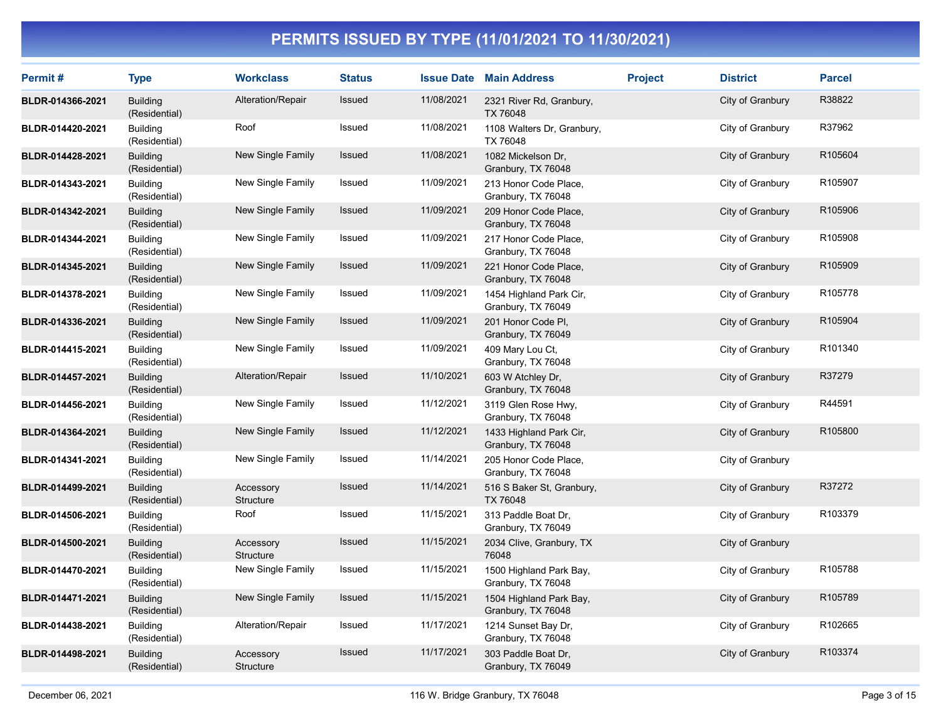| Permit#          | <b>Type</b>                      | <b>Workclass</b>       | <b>Status</b> |            | <b>Issue Date Main Address</b>                | <b>Project</b> | <b>District</b>  | <b>Parcel</b> |
|------------------|----------------------------------|------------------------|---------------|------------|-----------------------------------------------|----------------|------------------|---------------|
| BLDR-014366-2021 | <b>Building</b><br>(Residential) | Alteration/Repair      | Issued        | 11/08/2021 | 2321 River Rd, Granbury,<br>TX 76048          |                | City of Granbury | R38822        |
| BLDR-014420-2021 | <b>Building</b><br>(Residential) | Roof                   | Issued        | 11/08/2021 | 1108 Walters Dr, Granbury,<br>TX 76048        |                | City of Granbury | R37962        |
| BLDR-014428-2021 | <b>Building</b><br>(Residential) | New Single Family      | <b>Issued</b> | 11/08/2021 | 1082 Mickelson Dr,<br>Granbury, TX 76048      |                | City of Granbury | R105604       |
| BLDR-014343-2021 | <b>Building</b><br>(Residential) | New Single Family      | Issued        | 11/09/2021 | 213 Honor Code Place,<br>Granbury, TX 76048   |                | City of Granbury | R105907       |
| BLDR-014342-2021 | <b>Building</b><br>(Residential) | New Single Family      | Issued        | 11/09/2021 | 209 Honor Code Place,<br>Granbury, TX 76048   |                | City of Granbury | R105906       |
| BLDR-014344-2021 | <b>Building</b><br>(Residential) | New Single Family      | Issued        | 11/09/2021 | 217 Honor Code Place,<br>Granbury, TX 76048   |                | City of Granbury | R105908       |
| BLDR-014345-2021 | <b>Building</b><br>(Residential) | New Single Family      | Issued        | 11/09/2021 | 221 Honor Code Place,<br>Granbury, TX 76048   |                | City of Granbury | R105909       |
| BLDR-014378-2021 | <b>Building</b><br>(Residential) | New Single Family      | Issued        | 11/09/2021 | 1454 Highland Park Cir,<br>Granbury, TX 76049 |                | City of Granbury | R105778       |
| BLDR-014336-2021 | <b>Building</b><br>(Residential) | New Single Family      | Issued        | 11/09/2021 | 201 Honor Code PI,<br>Granbury, TX 76049      |                | City of Granbury | R105904       |
| BLDR-014415-2021 | <b>Building</b><br>(Residential) | New Single Family      | Issued        | 11/09/2021 | 409 Mary Lou Ct,<br>Granbury, TX 76048        |                | City of Granbury | R101340       |
| BLDR-014457-2021 | <b>Building</b><br>(Residential) | Alteration/Repair      | Issued        | 11/10/2021 | 603 W Atchley Dr,<br>Granbury, TX 76048       |                | City of Granbury | R37279        |
| BLDR-014456-2021 | <b>Building</b><br>(Residential) | New Single Family      | Issued        | 11/12/2021 | 3119 Glen Rose Hwy,<br>Granbury, TX 76048     |                | City of Granbury | R44591        |
| BLDR-014364-2021 | <b>Building</b><br>(Residential) | New Single Family      | Issued        | 11/12/2021 | 1433 Highland Park Cir,<br>Granbury, TX 76048 |                | City of Granbury | R105800       |
| BLDR-014341-2021 | <b>Building</b><br>(Residential) | New Single Family      | Issued        | 11/14/2021 | 205 Honor Code Place,<br>Granbury, TX 76048   |                | City of Granbury |               |
| BLDR-014499-2021 | Building<br>(Residential)        | Accessory<br>Structure | Issued        | 11/14/2021 | 516 S Baker St, Granbury,<br>TX 76048         |                | City of Granbury | R37272        |
| BLDR-014506-2021 | <b>Building</b><br>(Residential) | Roof                   | Issued        | 11/15/2021 | 313 Paddle Boat Dr,<br>Granbury, TX 76049     |                | City of Granbury | R103379       |
| BLDR-014500-2021 | <b>Building</b><br>(Residential) | Accessory<br>Structure | Issued        | 11/15/2021 | 2034 Clive, Granbury, TX<br>76048             |                | City of Granbury |               |
| BLDR-014470-2021 | <b>Building</b><br>(Residential) | New Single Family      | Issued        | 11/15/2021 | 1500 Highland Park Bay,<br>Granbury, TX 76048 |                | City of Granbury | R105788       |
| BLDR-014471-2021 | <b>Building</b><br>(Residential) | New Single Family      | Issued        | 11/15/2021 | 1504 Highland Park Bay,<br>Granbury, TX 76048 |                | City of Granbury | R105789       |
| BLDR-014438-2021 | <b>Building</b><br>(Residential) | Alteration/Repair      | Issued        | 11/17/2021 | 1214 Sunset Bay Dr,<br>Granbury, TX 76048     |                | City of Granbury | R102665       |
| BLDR-014498-2021 | <b>Building</b><br>(Residential) | Accessory<br>Structure | Issued        | 11/17/2021 | 303 Paddle Boat Dr,<br>Granbury, TX 76049     |                | City of Granbury | R103374       |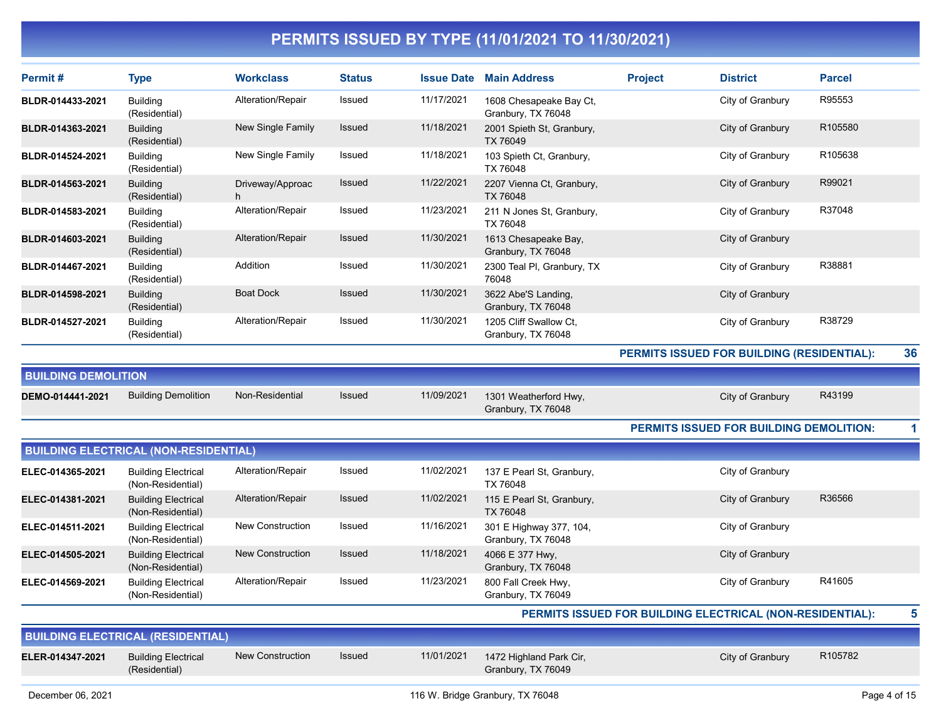| Permit#                    | <b>Type</b>                                     | <b>Workclass</b>        | <b>Status</b> |            | <b>Issue Date Main Address</b>                | <b>Project</b>                                            | <b>District</b>                                | <b>Parcel</b> |    |
|----------------------------|-------------------------------------------------|-------------------------|---------------|------------|-----------------------------------------------|-----------------------------------------------------------|------------------------------------------------|---------------|----|
| BLDR-014433-2021           | <b>Building</b><br>(Residential)                | Alteration/Repair       | Issued        | 11/17/2021 | 1608 Chesapeake Bay Ct,<br>Granbury, TX 76048 |                                                           | City of Granbury                               | R95553        |    |
| BLDR-014363-2021           | <b>Building</b><br>(Residential)                | New Single Family       | Issued        | 11/18/2021 | 2001 Spieth St, Granbury,<br>TX 76049         |                                                           | City of Granbury                               | R105580       |    |
| BLDR-014524-2021           | <b>Building</b><br>(Residential)                | New Single Family       | Issued        | 11/18/2021 | 103 Spieth Ct, Granbury,<br>TX 76048          |                                                           | City of Granbury                               | R105638       |    |
| BLDR-014563-2021           | <b>Building</b><br>(Residential)                | Driveway/Approac<br>h   | Issued        | 11/22/2021 | 2207 Vienna Ct, Granbury,<br>TX 76048         |                                                           | City of Granbury                               | R99021        |    |
| BLDR-014583-2021           | <b>Building</b><br>(Residential)                | Alteration/Repair       | Issued        | 11/23/2021 | 211 N Jones St, Granbury,<br>TX 76048         |                                                           | City of Granbury                               | R37048        |    |
| BLDR-014603-2021           | <b>Building</b><br>(Residential)                | Alteration/Repair       | Issued        | 11/30/2021 | 1613 Chesapeake Bay,<br>Granbury, TX 76048    |                                                           | City of Granbury                               |               |    |
| BLDR-014467-2021           | <b>Building</b><br>(Residential)                | Addition                | Issued        | 11/30/2021 | 2300 Teal PI, Granbury, TX<br>76048           |                                                           | City of Granbury                               | R38881        |    |
| BLDR-014598-2021           | <b>Building</b><br>(Residential)                | <b>Boat Dock</b>        | <b>Issued</b> | 11/30/2021 | 3622 Abe'S Landing,<br>Granbury, TX 76048     |                                                           | City of Granbury                               |               |    |
| BLDR-014527-2021           | <b>Building</b><br>(Residential)                | Alteration/Repair       | Issued        | 11/30/2021 | 1205 Cliff Swallow Ct,<br>Granbury, TX 76048  |                                                           | City of Granbury                               | R38729        |    |
|                            |                                                 |                         |               |            |                                               |                                                           | PERMITS ISSUED FOR BUILDING (RESIDENTIAL):     |               | 36 |
| <b>BUILDING DEMOLITION</b> |                                                 |                         |               |            |                                               |                                                           |                                                |               |    |
| DEMO-014441-2021           | <b>Building Demolition</b>                      | Non-Residential         | <b>Issued</b> | 11/09/2021 | 1301 Weatherford Hwy,<br>Granbury, TX 76048   |                                                           | City of Granbury                               | R43199        |    |
|                            |                                                 |                         |               |            |                                               |                                                           | <b>PERMITS ISSUED FOR BUILDING DEMOLITION:</b> |               | 1  |
|                            | <b>BUILDING ELECTRICAL (NON-RESIDENTIAL)</b>    |                         |               |            |                                               |                                                           |                                                |               |    |
| ELEC-014365-2021           | <b>Building Electrical</b><br>(Non-Residential) | Alteration/Repair       | Issued        | 11/02/2021 | 137 E Pearl St, Granbury,<br>TX 76048         |                                                           | City of Granbury                               |               |    |
| ELEC-014381-2021           | <b>Building Electrical</b><br>(Non-Residential) | Alteration/Repair       | Issued        | 11/02/2021 | 115 E Pearl St, Granbury,<br><b>TX 76048</b>  |                                                           | City of Granbury                               | R36566        |    |
| ELEC-014511-2021           | <b>Building Electrical</b><br>(Non-Residential) | <b>New Construction</b> | Issued        | 11/16/2021 | 301 E Highway 377, 104,<br>Granbury, TX 76048 |                                                           | City of Granbury                               |               |    |
| ELEC-014505-2021           | <b>Building Electrical</b><br>(Non-Residential) | <b>New Construction</b> | Issued        | 11/18/2021 | 4066 E 377 Hwy,<br>Granbury, TX 76048         |                                                           | City of Granbury                               |               |    |
| ELEC-014569-2021           | <b>Building Electrical</b><br>(Non-Residential) | Alteration/Repair       | Issued        | 11/23/2021 | 800 Fall Creek Hwy,<br>Granbury, TX 76049     |                                                           | City of Granbury                               | R41605        |    |
|                            |                                                 |                         |               |            |                                               | PERMITS ISSUED FOR BUILDING ELECTRICAL (NON-RESIDENTIAL): |                                                |               | 5  |
|                            | <b>BUILDING ELECTRICAL (RESIDENTIAL)</b>        |                         |               |            |                                               |                                                           |                                                |               |    |
| ELER-014347-2021           | <b>Building Electrical</b><br>(Residential)     | <b>New Construction</b> | <b>Issued</b> | 11/01/2021 | 1472 Highland Park Cir,<br>Granbury, TX 76049 |                                                           | City of Granbury                               | R105782       |    |
|                            |                                                 |                         |               |            |                                               |                                                           |                                                |               |    |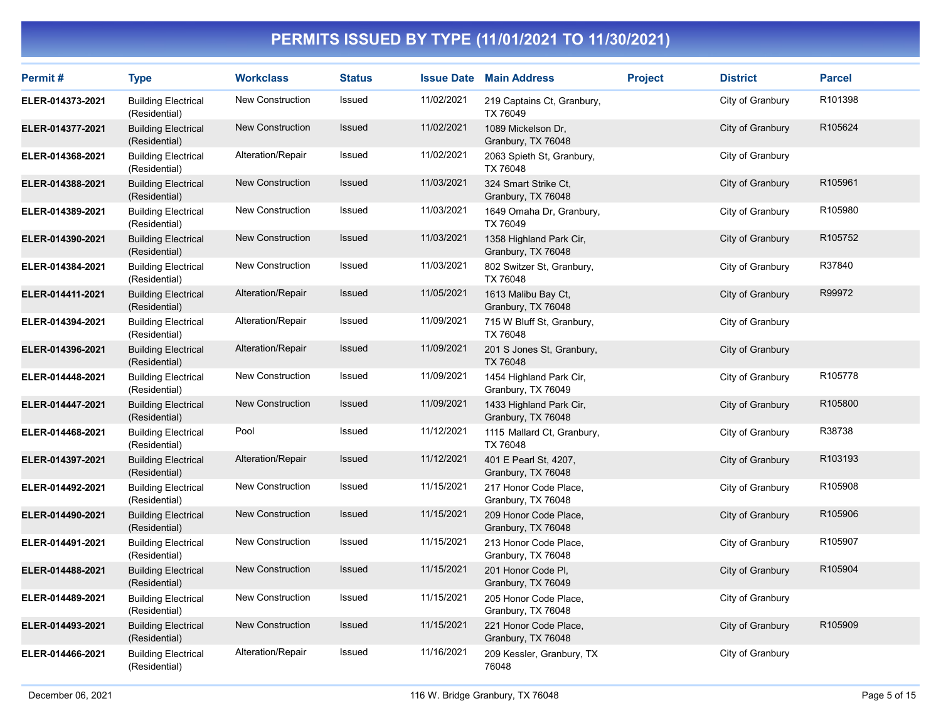| Permit#          | <b>Type</b>                                 | <b>Workclass</b>        | <b>Status</b> |            | <b>Issue Date Main Address</b>                | <b>Project</b> | <b>District</b>  | <b>Parcel</b> |
|------------------|---------------------------------------------|-------------------------|---------------|------------|-----------------------------------------------|----------------|------------------|---------------|
| ELER-014373-2021 | <b>Building Electrical</b><br>(Residential) | <b>New Construction</b> | Issued        | 11/02/2021 | 219 Captains Ct, Granbury,<br>TX 76049        |                | City of Granbury | R101398       |
| ELER-014377-2021 | <b>Building Electrical</b><br>(Residential) | New Construction        | Issued        | 11/02/2021 | 1089 Mickelson Dr,<br>Granbury, TX 76048      |                | City of Granbury | R105624       |
| ELER-014368-2021 | <b>Building Electrical</b><br>(Residential) | Alteration/Repair       | Issued        | 11/02/2021 | 2063 Spieth St, Granbury,<br>TX 76048         |                | City of Granbury |               |
| ELER-014388-2021 | <b>Building Electrical</b><br>(Residential) | New Construction        | <b>Issued</b> | 11/03/2021 | 324 Smart Strike Ct.<br>Granbury, TX 76048    |                | City of Granbury | R105961       |
| ELER-014389-2021 | <b>Building Electrical</b><br>(Residential) | New Construction        | Issued        | 11/03/2021 | 1649 Omaha Dr, Granbury,<br>TX 76049          |                | City of Granbury | R105980       |
| ELER-014390-2021 | <b>Building Electrical</b><br>(Residential) | New Construction        | Issued        | 11/03/2021 | 1358 Highland Park Cir,<br>Granbury, TX 76048 |                | City of Granbury | R105752       |
| ELER-014384-2021 | <b>Building Electrical</b><br>(Residential) | New Construction        | Issued        | 11/03/2021 | 802 Switzer St, Granbury,<br>TX 76048         |                | City of Granbury | R37840        |
| ELER-014411-2021 | <b>Building Electrical</b><br>(Residential) | Alteration/Repair       | Issued        | 11/05/2021 | 1613 Malibu Bay Ct,<br>Granbury, TX 76048     |                | City of Granbury | R99972        |
| ELER-014394-2021 | <b>Building Electrical</b><br>(Residential) | Alteration/Repair       | Issued        | 11/09/2021 | 715 W Bluff St, Granbury,<br>TX 76048         |                | City of Granbury |               |
| ELER-014396-2021 | <b>Building Electrical</b><br>(Residential) | Alteration/Repair       | Issued        | 11/09/2021 | 201 S Jones St, Granbury,<br>TX 76048         |                | City of Granbury |               |
| ELER-014448-2021 | <b>Building Electrical</b><br>(Residential) | New Construction        | Issued        | 11/09/2021 | 1454 Highland Park Cir,<br>Granbury, TX 76049 |                | City of Granbury | R105778       |
| ELER-014447-2021 | <b>Building Electrical</b><br>(Residential) | New Construction        | Issued        | 11/09/2021 | 1433 Highland Park Cir,<br>Granbury, TX 76048 |                | City of Granbury | R105800       |
| ELER-014468-2021 | <b>Building Electrical</b><br>(Residential) | Pool                    | Issued        | 11/12/2021 | 1115 Mallard Ct, Granbury,<br>TX 76048        |                | City of Granbury | R38738        |
| ELER-014397-2021 | <b>Building Electrical</b><br>(Residential) | Alteration/Repair       | Issued        | 11/12/2021 | 401 E Pearl St, 4207,<br>Granbury, TX 76048   |                | City of Granbury | R103193       |
| ELER-014492-2021 | <b>Building Electrical</b><br>(Residential) | New Construction        | Issued        | 11/15/2021 | 217 Honor Code Place,<br>Granbury, TX 76048   |                | City of Granbury | R105908       |
| ELER-014490-2021 | <b>Building Electrical</b><br>(Residential) | <b>New Construction</b> | Issued        | 11/15/2021 | 209 Honor Code Place,<br>Granbury, TX 76048   |                | City of Granbury | R105906       |
| ELER-014491-2021 | <b>Building Electrical</b><br>(Residential) | New Construction        | Issued        | 11/15/2021 | 213 Honor Code Place,<br>Granbury, TX 76048   |                | City of Granbury | R105907       |
| ELER-014488-2021 | <b>Building Electrical</b><br>(Residential) | New Construction        | <b>Issued</b> | 11/15/2021 | 201 Honor Code PI,<br>Granbury, TX 76049      |                | City of Granbury | R105904       |
| ELER-014489-2021 | <b>Building Electrical</b><br>(Residential) | New Construction        | Issued        | 11/15/2021 | 205 Honor Code Place,<br>Granbury, TX 76048   |                | City of Granbury |               |
| ELER-014493-2021 | <b>Building Electrical</b><br>(Residential) | <b>New Construction</b> | Issued        | 11/15/2021 | 221 Honor Code Place,<br>Granbury, TX 76048   |                | City of Granbury | R105909       |
| ELER-014466-2021 | <b>Building Electrical</b><br>(Residential) | Alteration/Repair       | Issued        | 11/16/2021 | 209 Kessler, Granbury, TX<br>76048            |                | City of Granbury |               |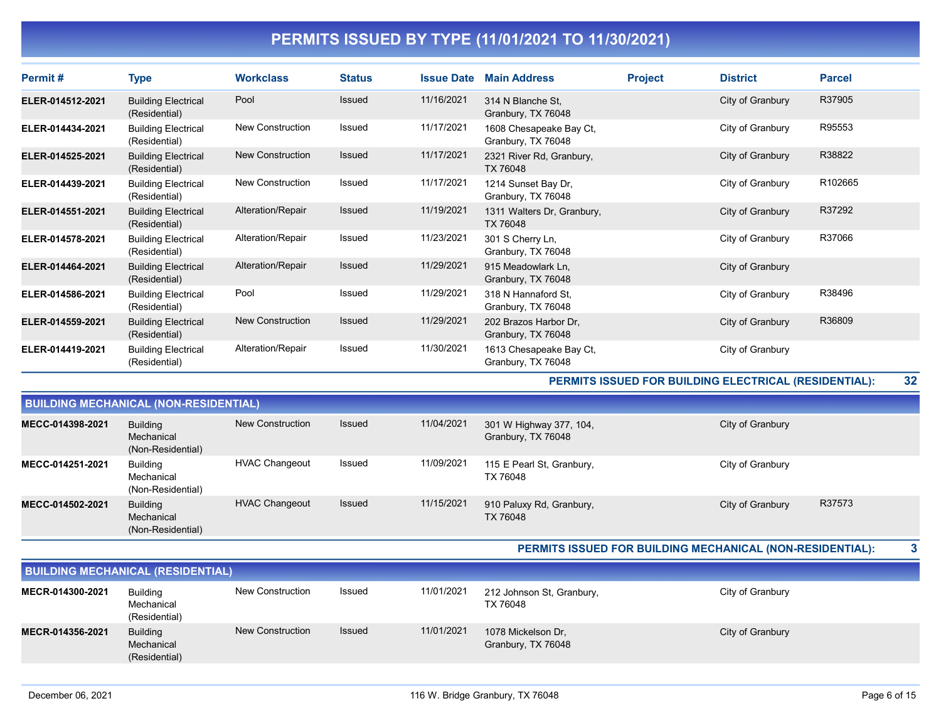| Permit#          | <b>Type</b>                                 | <b>Workclass</b>        | <b>Status</b> | <b>Issue Date</b> | <b>Main Address</b>                           | <b>Project</b> | <b>District</b>  | <b>Parcel</b> |
|------------------|---------------------------------------------|-------------------------|---------------|-------------------|-----------------------------------------------|----------------|------------------|---------------|
| ELER-014512-2021 | <b>Building Electrical</b><br>(Residential) | Pool                    | <b>Issued</b> | 11/16/2021        | 314 N Blanche St,<br>Granbury, TX 76048       |                | City of Granbury | R37905        |
| ELER-014434-2021 | <b>Building Electrical</b><br>(Residential) | <b>New Construction</b> | <b>Issued</b> | 11/17/2021        | 1608 Chesapeake Bay Ct,<br>Granbury, TX 76048 |                | City of Granbury | R95553        |
| ELER-014525-2021 | <b>Building Electrical</b><br>(Residential) | <b>New Construction</b> | <b>Issued</b> | 11/17/2021        | 2321 River Rd, Granbury,<br>TX 76048          |                | City of Granbury | R38822        |
| ELER-014439-2021 | <b>Building Electrical</b><br>(Residential) | New Construction        | <b>Issued</b> | 11/17/2021        | 1214 Sunset Bay Dr,<br>Granbury, TX 76048     |                | City of Granbury | R102665       |
| ELER-014551-2021 | <b>Building Electrical</b><br>(Residential) | Alteration/Repair       | Issued        | 11/19/2021        | 1311 Walters Dr, Granbury,<br>TX 76048        |                | City of Granbury | R37292        |
| ELER-014578-2021 | <b>Building Electrical</b><br>(Residential) | Alteration/Repair       | <b>Issued</b> | 11/23/2021        | 301 S Cherry Ln,<br>Granbury, TX 76048        |                | City of Granbury | R37066        |
| ELER-014464-2021 | <b>Building Electrical</b><br>(Residential) | Alteration/Repair       | Issued        | 11/29/2021        | 915 Meadowlark Ln,<br>Granbury, TX 76048      |                | City of Granbury |               |
| ELER-014586-2021 | <b>Building Electrical</b><br>(Residential) | Pool                    | Issued        | 11/29/2021        | 318 N Hannaford St.<br>Granbury, TX 76048     |                | City of Granbury | R38496        |
| ELER-014559-2021 | <b>Building Electrical</b><br>(Residential) | <b>New Construction</b> | Issued        | 11/29/2021        | 202 Brazos Harbor Dr.<br>Granbury, TX 76048   |                | City of Granbury | R36809        |
| ELER-014419-2021 | <b>Building Electrical</b><br>(Residential) | Alteration/Repair       | <b>Issued</b> | 11/30/2021        | 1613 Chesapeake Bay Ct,<br>Granbury, TX 76048 |                | City of Granbury |               |

PERMITS ISSUED FOR BUILDING ELECTRICAL (RESIDENTIAL): 32

| <b>BUILDING MECHANICAL (NON-RESIDENTIAL)</b> |                                                    |                       |               |            |                                               |                  |        |  |  |  |
|----------------------------------------------|----------------------------------------------------|-----------------------|---------------|------------|-----------------------------------------------|------------------|--------|--|--|--|
| MECC-014398-2021                             | Building<br>Mechanical<br>(Non-Residential)        | New Construction      | <b>Issued</b> | 11/04/2021 | 301 W Highway 377, 104,<br>Granbury, TX 76048 | City of Granbury |        |  |  |  |
| MECC-014251-2021                             | <b>Building</b><br>Mechanical<br>(Non-Residential) | <b>HVAC Changeout</b> | Issued        | 11/09/2021 | 115 E Pearl St, Granbury,<br>TX 76048         | City of Granbury |        |  |  |  |
| MECC-014502-2021                             | <b>Building</b><br>Mechanical<br>(Non-Residential) | <b>HVAC Changeout</b> | <b>Issued</b> | 11/15/2021 | 910 Paluxy Rd, Granbury,<br>TX 76048          | City of Granbury | R37573 |  |  |  |

PERMITS ISSUED FOR BUILDING MECHANICAL (NON-RESIDENTIAL): 3

| <b>BUILDING MECHANICAL (RESIDENTIAL)</b> |                                                |                  |               |            |                                          |                  |  |  |  |
|------------------------------------------|------------------------------------------------|------------------|---------------|------------|------------------------------------------|------------------|--|--|--|
| MECR-014300-2021                         | Building<br>Mechanical<br>(Residential)        | New Construction | Issued        | 11/01/2021 | 212 Johnson St, Granbury,<br>TX 76048    | City of Granbury |  |  |  |
| MECR-014356-2021                         | <b>Building</b><br>Mechanical<br>(Residential) | New Construction | <b>Issued</b> | 11/01/2021 | 1078 Mickelson Dr.<br>Granbury, TX 76048 | City of Granbury |  |  |  |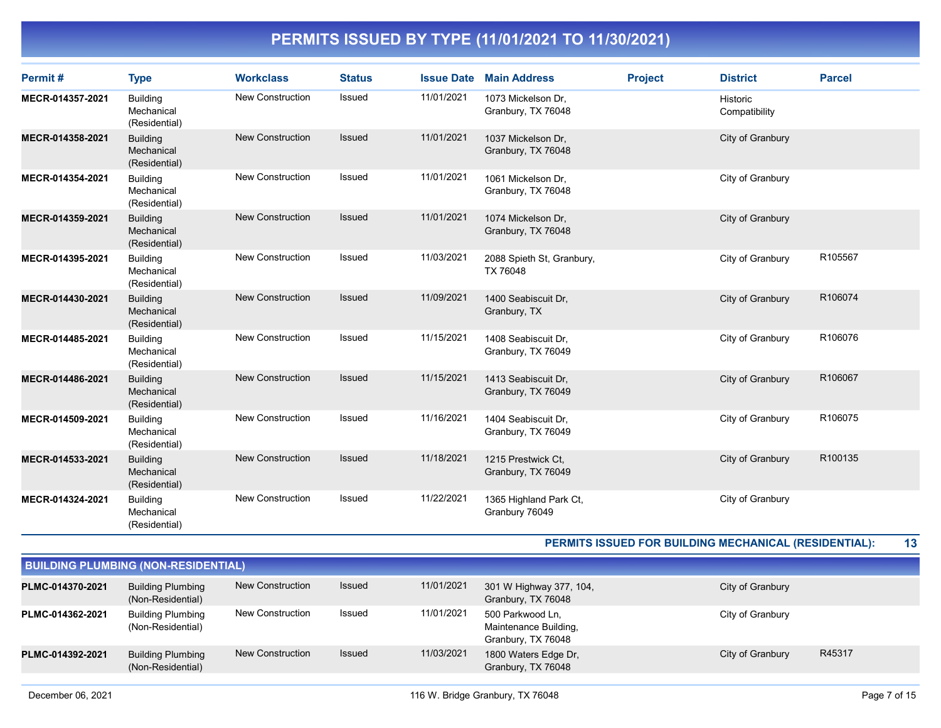| Permit#          | <b>Type</b>                                    | <b>Workclass</b>        | <b>Status</b> | <b>Issue Date</b> | <b>Main Address</b>                       | <b>Project</b> | <b>District</b>                  | <b>Parcel</b> |
|------------------|------------------------------------------------|-------------------------|---------------|-------------------|-------------------------------------------|----------------|----------------------------------|---------------|
| MECR-014357-2021 | <b>Building</b><br>Mechanical<br>(Residential) | New Construction        | Issued        | 11/01/2021        | 1073 Mickelson Dr.<br>Granbury, TX 76048  |                | <b>Historic</b><br>Compatibility |               |
| MECR-014358-2021 | <b>Building</b><br>Mechanical<br>(Residential) | <b>New Construction</b> | <b>Issued</b> | 11/01/2021        | 1037 Mickelson Dr.<br>Granbury, TX 76048  |                | City of Granbury                 |               |
| MECR-014354-2021 | Building<br>Mechanical<br>(Residential)        | New Construction        | Issued        | 11/01/2021        | 1061 Mickelson Dr.<br>Granbury, TX 76048  |                | City of Granbury                 |               |
| MECR-014359-2021 | <b>Building</b><br>Mechanical<br>(Residential) | <b>New Construction</b> | <b>Issued</b> | 11/01/2021        | 1074 Mickelson Dr,<br>Granbury, TX 76048  |                | City of Granbury                 |               |
| MECR-014395-2021 | <b>Building</b><br>Mechanical<br>(Residential) | New Construction        | Issued        | 11/03/2021        | 2088 Spieth St, Granbury,<br>TX 76048     |                | City of Granbury                 | R105567       |
| MECR-014430-2021 | <b>Building</b><br>Mechanical<br>(Residential) | <b>New Construction</b> | <b>Issued</b> | 11/09/2021        | 1400 Seabiscuit Dr,<br>Granbury, TX       |                | City of Granbury                 | R106074       |
| MECR-014485-2021 | <b>Building</b><br>Mechanical<br>(Residential) | <b>New Construction</b> | Issued        | 11/15/2021        | 1408 Seabiscuit Dr.<br>Granbury, TX 76049 |                | City of Granbury                 | R106076       |
| MECR-014486-2021 | <b>Building</b><br>Mechanical<br>(Residential) | <b>New Construction</b> | Issued        | 11/15/2021        | 1413 Seabiscuit Dr,<br>Granbury, TX 76049 |                | City of Granbury                 | R106067       |
| MECR-014509-2021 | <b>Building</b><br>Mechanical<br>(Residential) | <b>New Construction</b> | Issued        | 11/16/2021        | 1404 Seabiscuit Dr.<br>Granbury, TX 76049 |                | City of Granbury                 | R106075       |
| MECR-014533-2021 | <b>Building</b><br>Mechanical<br>(Residential) | <b>New Construction</b> | Issued        | 11/18/2021        | 1215 Prestwick Ct.<br>Granbury, TX 76049  |                | City of Granbury                 | R100135       |
| MECR-014324-2021 | <b>Building</b><br>Mechanical<br>(Residential) | <b>New Construction</b> | <b>Issued</b> | 11/22/2021        | 1365 Highland Park Ct,<br>Granbury 76049  |                | City of Granbury                 |               |

PERMITS ISSUED FOR BUILDING MECHANICAL (RESIDENTIAL): 13

| <b>BUILDING PLUMBING (NON-RESIDENTIAL)</b> |                                               |                         |        |            |                                                                 |                  |        |  |  |  |  |
|--------------------------------------------|-----------------------------------------------|-------------------------|--------|------------|-----------------------------------------------------------------|------------------|--------|--|--|--|--|
| PLMC-014370-2021                           | <b>Building Plumbing</b><br>(Non-Residential) | New Construction        | Issued | 11/01/2021 | 301 W Highway 377, 104,<br>Granbury, TX 76048                   | City of Granbury |        |  |  |  |  |
| PLMC-014362-2021                           | <b>Building Plumbing</b><br>(Non-Residential) | New Construction        | Issued | 11/01/2021 | 500 Parkwood Ln.<br>Maintenance Building,<br>Granbury, TX 76048 | City of Granbury |        |  |  |  |  |
| PLMC-014392-2021                           | <b>Building Plumbing</b><br>(Non-Residential) | <b>New Construction</b> | Issued | 11/03/2021 | 1800 Waters Edge Dr,<br>Granbury, TX 76048                      | City of Granbury | R45317 |  |  |  |  |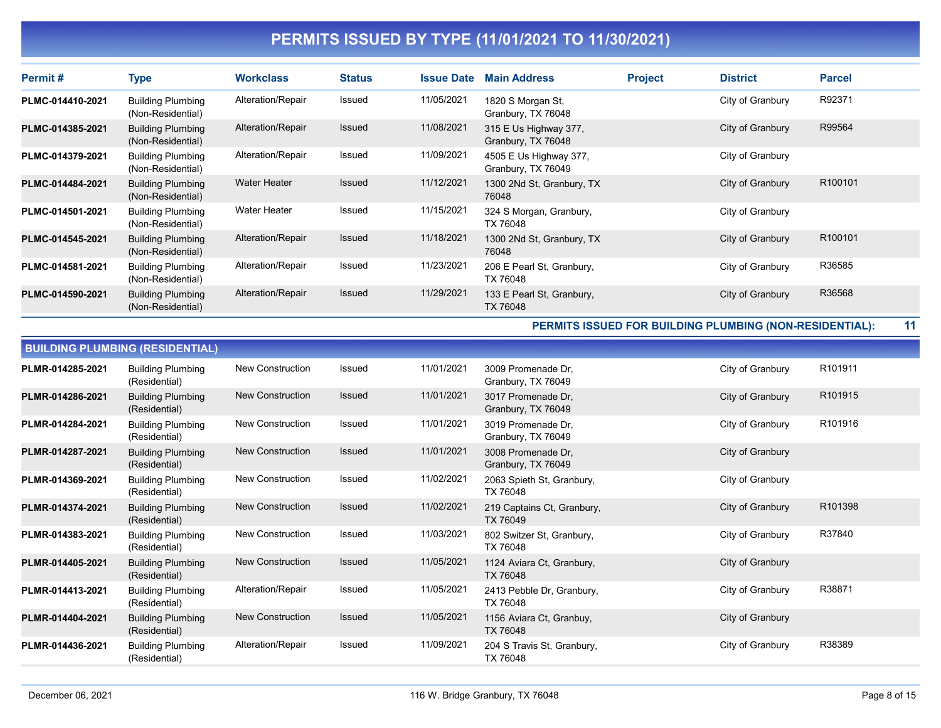| Permit#          | <b>Type</b>                                   | <b>Workclass</b>    | <b>Status</b> | <b>Issue Date</b> | <b>Main Address</b>                          | <b>Project</b> | <b>District</b>  | <b>Parcel</b>       |
|------------------|-----------------------------------------------|---------------------|---------------|-------------------|----------------------------------------------|----------------|------------------|---------------------|
| PLMC-014410-2021 | <b>Building Plumbing</b><br>(Non-Residential) | Alteration/Repair   | Issued        | 11/05/2021        | 1820 S Morgan St,<br>Granbury, TX 76048      |                | City of Granbury | R92371              |
| PLMC-014385-2021 | <b>Building Plumbing</b><br>(Non-Residential) | Alteration/Repair   | <b>Issued</b> | 11/08/2021        | 315 E Us Highway 377,<br>Granbury, TX 76048  |                | City of Granbury | R99564              |
| PLMC-014379-2021 | <b>Building Plumbing</b><br>(Non-Residential) | Alteration/Repair   | Issued        | 11/09/2021        | 4505 E Us Highway 377,<br>Granbury, TX 76049 |                | City of Granbury |                     |
| PLMC-014484-2021 | <b>Building Plumbing</b><br>(Non-Residential) | <b>Water Heater</b> | <b>Issued</b> | 11/12/2021        | 1300 2Nd St, Granbury, TX<br>76048           |                | City of Granbury | R <sub>100101</sub> |
| PLMC-014501-2021 | <b>Building Plumbing</b><br>(Non-Residential) | <b>Water Heater</b> | Issued        | 11/15/2021        | 324 S Morgan, Granbury,<br>TX 76048          |                | City of Granbury |                     |
| PLMC-014545-2021 | <b>Building Plumbing</b><br>(Non-Residential) | Alteration/Repair   | <b>Issued</b> | 11/18/2021        | 1300 2Nd St, Granbury, TX<br>76048           |                | City of Granbury | R <sub>100101</sub> |
| PLMC-014581-2021 | <b>Building Plumbing</b><br>(Non-Residential) | Alteration/Repair   | Issued        | 11/23/2021        | 206 E Pearl St, Granbury,<br>TX 76048        |                | City of Granbury | R36585              |
| PLMC-014590-2021 | <b>Building Plumbing</b><br>(Non-Residential) | Alteration/Repair   | <b>Issued</b> | 11/29/2021        | 133 E Pearl St, Granbury,<br>TX 76048        |                | City of Granbury | R36568              |

PERMITS ISSUED FOR BUILDING PLUMBING (NON-RESIDENTIAL): 11

| <b>BUILDING PLUMBING (RESIDENTIAL)</b> |                                           |                         |               |            |                                          |                  |         |
|----------------------------------------|-------------------------------------------|-------------------------|---------------|------------|------------------------------------------|------------------|---------|
| PLMR-014285-2021                       | <b>Building Plumbing</b><br>(Residential) | <b>New Construction</b> | Issued        | 11/01/2021 | 3009 Promenade Dr.<br>Granbury, TX 76049 | City of Granbury | R101911 |
| PLMR-014286-2021                       | <b>Building Plumbing</b><br>(Residential) | <b>New Construction</b> | Issued        | 11/01/2021 | 3017 Promenade Dr.<br>Granbury, TX 76049 | City of Granbury | R101915 |
| PLMR-014284-2021                       | <b>Building Plumbing</b><br>(Residential) | <b>New Construction</b> | Issued        | 11/01/2021 | 3019 Promenade Dr.<br>Granbury, TX 76049 | City of Granbury | R101916 |
| PLMR-014287-2021                       | <b>Building Plumbing</b><br>(Residential) | New Construction        | Issued        | 11/01/2021 | 3008 Promenade Dr,<br>Granbury, TX 76049 | City of Granbury |         |
| PLMR-014369-2021                       | <b>Building Plumbing</b><br>(Residential) | <b>New Construction</b> | Issued        | 11/02/2021 | 2063 Spieth St, Granbury,<br>TX 76048    | City of Granbury |         |
| PLMR-014374-2021                       | <b>Building Plumbing</b><br>(Residential) | <b>New Construction</b> | <b>Issued</b> | 11/02/2021 | 219 Captains Ct, Granbury,<br>TX 76049   | City of Granbury | R101398 |
| PLMR-014383-2021                       | <b>Building Plumbing</b><br>(Residential) | <b>New Construction</b> | Issued        | 11/03/2021 | 802 Switzer St, Granbury,<br>TX 76048    | City of Granbury | R37840  |
| PLMR-014405-2021                       | <b>Building Plumbing</b><br>(Residential) | <b>New Construction</b> | <b>Issued</b> | 11/05/2021 | 1124 Aviara Ct, Granbury,<br>TX 76048    | City of Granbury |         |
| PLMR-014413-2021                       | <b>Building Plumbing</b><br>(Residential) | Alteration/Repair       | Issued        | 11/05/2021 | 2413 Pebble Dr, Granbury,<br>TX 76048    | City of Granbury | R38871  |
| PLMR-014404-2021                       | <b>Building Plumbing</b><br>(Residential) | <b>New Construction</b> | Issued        | 11/05/2021 | 1156 Aviara Ct, Granbuy,<br>TX 76048     | City of Granbury |         |
| PLMR-014436-2021                       | <b>Building Plumbing</b><br>(Residential) | Alteration/Repair       | Issued        | 11/09/2021 | 204 S Travis St, Granbury,<br>TX 76048   | City of Granbury | R38389  |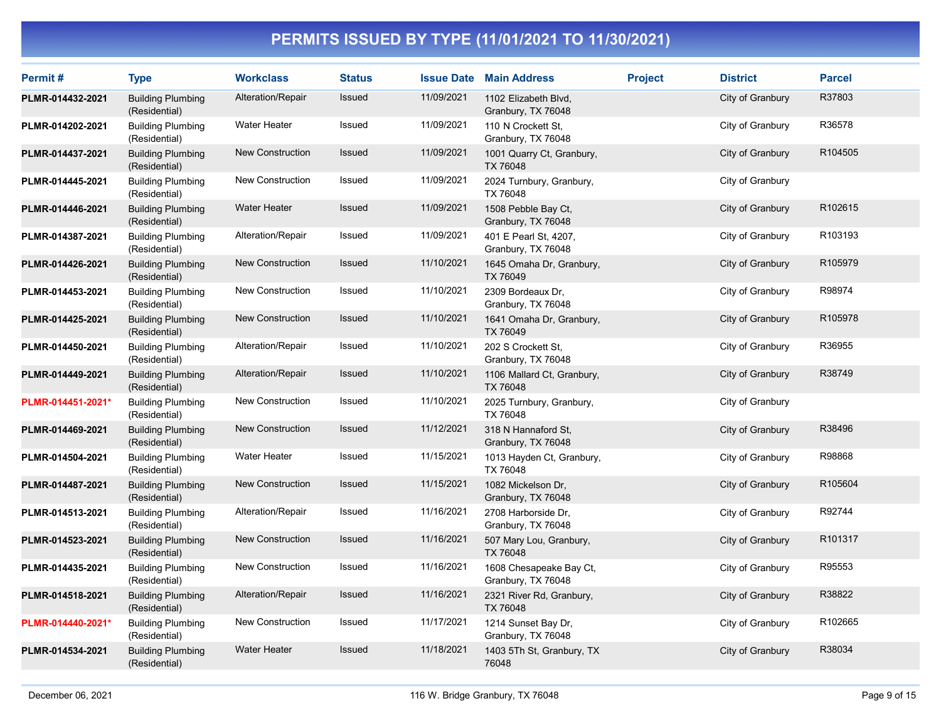| Permit#           | <b>Type</b>                               | <b>Workclass</b>        | <b>Status</b> | <b>Issue Date</b> | <b>Main Address</b>                           | <b>Project</b> | <b>District</b>  | <b>Parcel</b> |
|-------------------|-------------------------------------------|-------------------------|---------------|-------------------|-----------------------------------------------|----------------|------------------|---------------|
| PLMR-014432-2021  | <b>Building Plumbing</b><br>(Residential) | Alteration/Repair       | Issued        | 11/09/2021        | 1102 Elizabeth Blvd,<br>Granbury, TX 76048    |                | City of Granbury | R37803        |
| PLMR-014202-2021  | <b>Building Plumbing</b><br>(Residential) | <b>Water Heater</b>     | Issued        | 11/09/2021        | 110 N Crockett St.<br>Granbury, TX 76048      |                | City of Granbury | R36578        |
| PLMR-014437-2021  | <b>Building Plumbing</b><br>(Residential) | <b>New Construction</b> | Issued        | 11/09/2021        | 1001 Quarry Ct, Granbury,<br>TX 76048         |                | City of Granbury | R104505       |
| PLMR-014445-2021  | <b>Building Plumbing</b><br>(Residential) | <b>New Construction</b> | Issued        | 11/09/2021        | 2024 Turnbury, Granbury,<br>TX 76048          |                | City of Granbury |               |
| PLMR-014446-2021  | <b>Building Plumbing</b><br>(Residential) | <b>Water Heater</b>     | Issued        | 11/09/2021        | 1508 Pebble Bay Ct,<br>Granbury, TX 76048     |                | City of Granbury | R102615       |
| PLMR-014387-2021  | <b>Building Plumbing</b><br>(Residential) | Alteration/Repair       | Issued        | 11/09/2021        | 401 E Pearl St, 4207,<br>Granbury, TX 76048   |                | City of Granbury | R103193       |
| PLMR-014426-2021  | <b>Building Plumbing</b><br>(Residential) | <b>New Construction</b> | Issued        | 11/10/2021        | 1645 Omaha Dr, Granbury,<br>TX 76049          |                | City of Granbury | R105979       |
| PLMR-014453-2021  | <b>Building Plumbing</b><br>(Residential) | New Construction        | Issued        | 11/10/2021        | 2309 Bordeaux Dr,<br>Granbury, TX 76048       |                | City of Granbury | R98974        |
| PLMR-014425-2021  | <b>Building Plumbing</b><br>(Residential) | <b>New Construction</b> | Issued        | 11/10/2021        | 1641 Omaha Dr, Granbury,<br>TX 76049          |                | City of Granbury | R105978       |
| PLMR-014450-2021  | <b>Building Plumbing</b><br>(Residential) | Alteration/Repair       | Issued        | 11/10/2021        | 202 S Crockett St,<br>Granbury, TX 76048      |                | City of Granbury | R36955        |
| PLMR-014449-2021  | <b>Building Plumbing</b><br>(Residential) | Alteration/Repair       | <b>Issued</b> | 11/10/2021        | 1106 Mallard Ct, Granbury,<br>TX 76048        |                | City of Granbury | R38749        |
| PLMR-014451-2021* | <b>Building Plumbing</b><br>(Residential) | <b>New Construction</b> | Issued        | 11/10/2021        | 2025 Turnbury, Granbury,<br>TX 76048          |                | City of Granbury |               |
| PLMR-014469-2021  | <b>Building Plumbing</b><br>(Residential) | <b>New Construction</b> | Issued        | 11/12/2021        | 318 N Hannaford St.<br>Granbury, TX 76048     |                | City of Granbury | R38496        |
| PLMR-014504-2021  | <b>Building Plumbing</b><br>(Residential) | <b>Water Heater</b>     | Issued        | 11/15/2021        | 1013 Hayden Ct, Granbury,<br>TX 76048         |                | City of Granbury | R98868        |
| PLMR-014487-2021  | <b>Building Plumbing</b><br>(Residential) | <b>New Construction</b> | Issued        | 11/15/2021        | 1082 Mickelson Dr,<br>Granbury, TX 76048      |                | City of Granbury | R105604       |
| PLMR-014513-2021  | <b>Building Plumbing</b><br>(Residential) | Alteration/Repair       | Issued        | 11/16/2021        | 2708 Harborside Dr,<br>Granbury, TX 76048     |                | City of Granbury | R92744        |
| PLMR-014523-2021  | <b>Building Plumbing</b><br>(Residential) | <b>New Construction</b> | Issued        | 11/16/2021        | 507 Mary Lou, Granbury,<br>TX 76048           |                | City of Granbury | R101317       |
| PLMR-014435-2021  | <b>Building Plumbing</b><br>(Residential) | <b>New Construction</b> | Issued        | 11/16/2021        | 1608 Chesapeake Bay Ct,<br>Granbury, TX 76048 |                | City of Granbury | R95553        |
| PLMR-014518-2021  | <b>Building Plumbing</b><br>(Residential) | Alteration/Repair       | Issued        | 11/16/2021        | 2321 River Rd, Granbury,<br>TX 76048          |                | City of Granbury | R38822        |
| PLMR-014440-2021* | <b>Building Plumbing</b><br>(Residential) | New Construction        | Issued        | 11/17/2021        | 1214 Sunset Bay Dr,<br>Granbury, TX 76048     |                | City of Granbury | R102665       |
| PLMR-014534-2021  | <b>Building Plumbing</b><br>(Residential) | <b>Water Heater</b>     | <b>Issued</b> | 11/18/2021        | 1403 5Th St, Granbury, TX<br>76048            |                | City of Granbury | R38034        |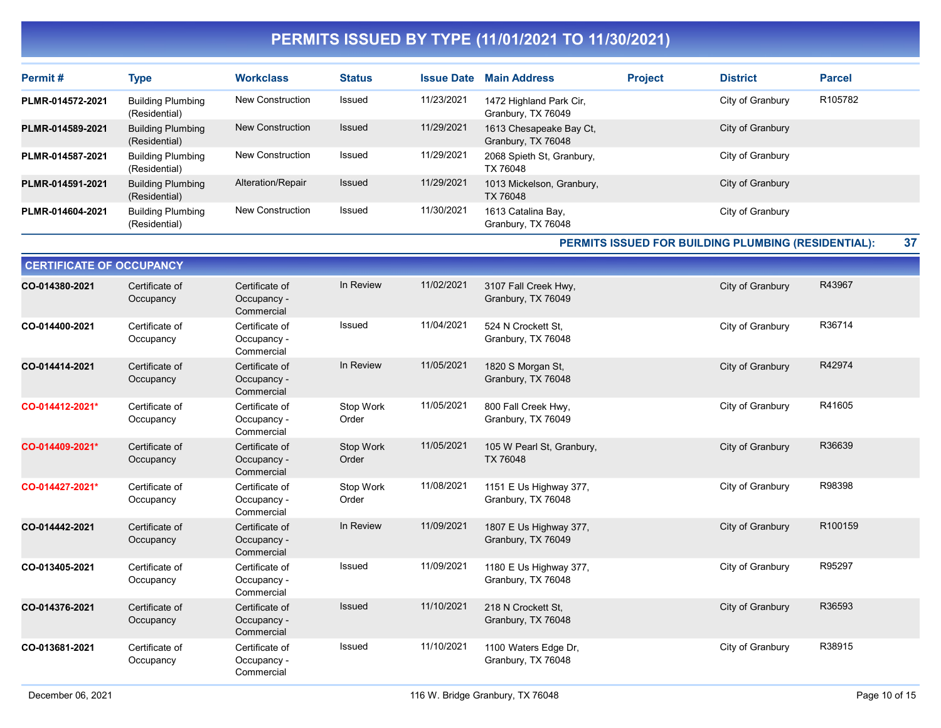| Permit#          | <b>Type</b>                               | <b>Workclass</b>        | <b>Status</b> | <b>Issue Date</b> | <b>Main Address</b>                           | <b>Project</b> | <b>District</b>  | <b>Parcel</b> |
|------------------|-------------------------------------------|-------------------------|---------------|-------------------|-----------------------------------------------|----------------|------------------|---------------|
| PLMR-014572-2021 | <b>Building Plumbing</b><br>(Residential) | New Construction        | Issued        | 11/23/2021        | 1472 Highland Park Cir,<br>Granbury, TX 76049 |                | City of Granbury | R105782       |
| PLMR-014589-2021 | <b>Building Plumbing</b><br>(Residential) | <b>New Construction</b> | Issued        | 11/29/2021        | 1613 Chesapeake Bay Ct,<br>Granbury, TX 76048 |                | City of Granbury |               |
| PLMR-014587-2021 | <b>Building Plumbing</b><br>(Residential) | New Construction        | Issued        | 11/29/2021        | 2068 Spieth St, Granbury,<br>TX 76048         |                | City of Granbury |               |
| PLMR-014591-2021 | <b>Building Plumbing</b><br>(Residential) | Alteration/Repair       | Issued        | 11/29/2021        | 1013 Mickelson, Granbury,<br>TX 76048         |                | City of Granbury |               |
| PLMR-014604-2021 | <b>Building Plumbing</b><br>(Residential) | <b>New Construction</b> | Issued        | 11/30/2021        | 1613 Catalina Bay,<br>Granbury, TX 76048      |                | City of Granbury |               |

PERMITS ISSUED FOR BUILDING PLUMBING (RESIDENTIAL): 37

| <b>CERTIFICATE OF OCCUPANCY</b> |                             |                                             |                    |            |                                              |                  |         |
|---------------------------------|-----------------------------|---------------------------------------------|--------------------|------------|----------------------------------------------|------------------|---------|
| CO-014380-2021                  | Certificate of<br>Occupancy | Certificate of<br>Occupancy -<br>Commercial | In Review          | 11/02/2021 | 3107 Fall Creek Hwy,<br>Granbury, TX 76049   | City of Granbury | R43967  |
| CO-014400-2021                  | Certificate of<br>Occupancy | Certificate of<br>Occupancy -<br>Commercial | Issued             | 11/04/2021 | 524 N Crockett St.<br>Granbury, TX 76048     | City of Granbury | R36714  |
| CO-014414-2021                  | Certificate of<br>Occupancy | Certificate of<br>Occupancy -<br>Commercial | In Review          | 11/05/2021 | 1820 S Morgan St,<br>Granbury, TX 76048      | City of Granbury | R42974  |
| CO-014412-2021*                 | Certificate of<br>Occupancy | Certificate of<br>Occupancy -<br>Commercial | Stop Work<br>Order | 11/05/2021 | 800 Fall Creek Hwy,<br>Granbury, TX 76049    | City of Granbury | R41605  |
| CO-014409-2021*                 | Certificate of<br>Occupancy | Certificate of<br>Occupancy -<br>Commercial | Stop Work<br>Order | 11/05/2021 | 105 W Pearl St, Granbury,<br>TX 76048        | City of Granbury | R36639  |
| CO-014427-2021*                 | Certificate of<br>Occupancy | Certificate of<br>Occupancy -<br>Commercial | Stop Work<br>Order | 11/08/2021 | 1151 E Us Highway 377,<br>Granbury, TX 76048 | City of Granbury | R98398  |
| CO-014442-2021                  | Certificate of<br>Occupancy | Certificate of<br>Occupancy -<br>Commercial | In Review          | 11/09/2021 | 1807 E Us Highway 377,<br>Granbury, TX 76049 | City of Granbury | R100159 |
| CO-013405-2021                  | Certificate of<br>Occupancy | Certificate of<br>Occupancy -<br>Commercial | Issued             | 11/09/2021 | 1180 E Us Highway 377,<br>Granbury, TX 76048 | City of Granbury | R95297  |
| CO-014376-2021                  | Certificate of<br>Occupancy | Certificate of<br>Occupancy -<br>Commercial | Issued             | 11/10/2021 | 218 N Crockett St.<br>Granbury, TX 76048     | City of Granbury | R36593  |
| CO-013681-2021                  | Certificate of<br>Occupancy | Certificate of<br>Occupancy -<br>Commercial | Issued             | 11/10/2021 | 1100 Waters Edge Dr,<br>Granbury, TX 76048   | City of Granbury | R38915  |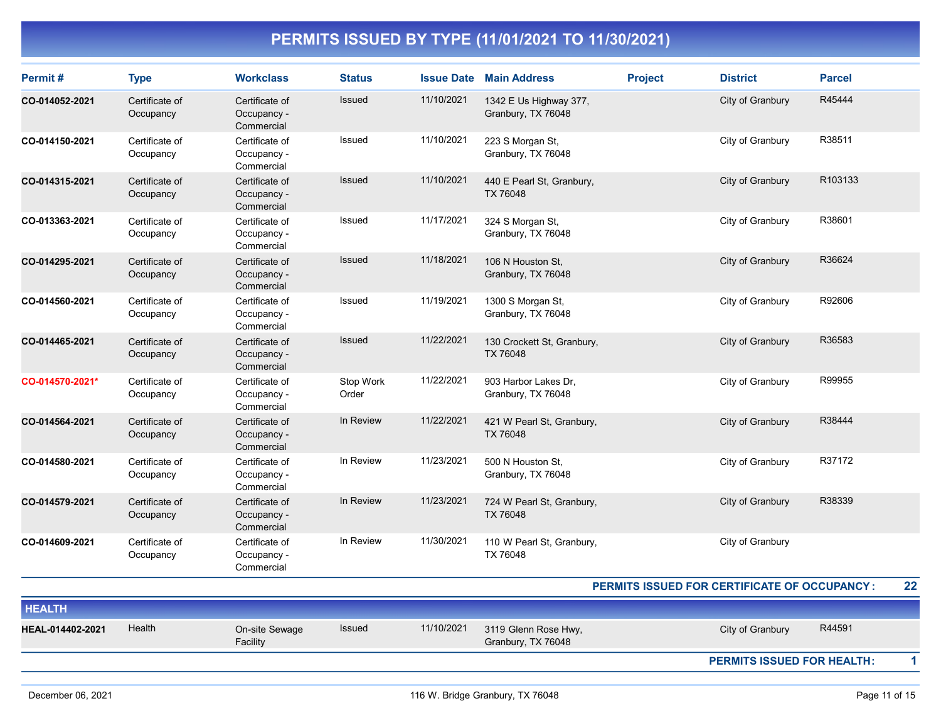| Permit#          | <b>Type</b>                 | <b>Workclass</b>                            | <b>Status</b>      |            | <b>Issue Date Main Address</b>               | <b>Project</b> | <b>District</b>                              | <b>Parcel</b> |
|------------------|-----------------------------|---------------------------------------------|--------------------|------------|----------------------------------------------|----------------|----------------------------------------------|---------------|
| CO-014052-2021   | Certificate of<br>Occupancy | Certificate of<br>Occupancy -<br>Commercial | Issued             | 11/10/2021 | 1342 E Us Highway 377,<br>Granbury, TX 76048 |                | City of Granbury                             | R45444        |
| CO-014150-2021   | Certificate of<br>Occupancy | Certificate of<br>Occupancy -<br>Commercial | Issued             | 11/10/2021 | 223 S Morgan St,<br>Granbury, TX 76048       |                | City of Granbury                             | R38511        |
| CO-014315-2021   | Certificate of<br>Occupancy | Certificate of<br>Occupancy -<br>Commercial | <b>Issued</b>      | 11/10/2021 | 440 E Pearl St, Granbury,<br><b>TX 76048</b> |                | City of Granbury                             | R103133       |
| CO-013363-2021   | Certificate of<br>Occupancy | Certificate of<br>Occupancy -<br>Commercial | Issued             | 11/17/2021 | 324 S Morgan St,<br>Granbury, TX 76048       |                | City of Granbury                             | R38601        |
| CO-014295-2021   | Certificate of<br>Occupancy | Certificate of<br>Occupancy -<br>Commercial | <b>Issued</b>      | 11/18/2021 | 106 N Houston St,<br>Granbury, TX 76048      |                | City of Granbury                             | R36624        |
| CO-014560-2021   | Certificate of<br>Occupancy | Certificate of<br>Occupancy -<br>Commercial | Issued             | 11/19/2021 | 1300 S Morgan St,<br>Granbury, TX 76048      |                | City of Granbury                             | R92606        |
| CO-014465-2021   | Certificate of<br>Occupancy | Certificate of<br>Occupancy -<br>Commercial | <b>Issued</b>      | 11/22/2021 | 130 Crockett St, Granbury,<br>TX 76048       |                | City of Granbury                             | R36583        |
| CO-014570-2021*  | Certificate of<br>Occupancy | Certificate of<br>Occupancy -<br>Commercial | Stop Work<br>Order | 11/22/2021 | 903 Harbor Lakes Dr,<br>Granbury, TX 76048   |                | City of Granbury                             | R99955        |
| CO-014564-2021   | Certificate of<br>Occupancy | Certificate of<br>Occupancy -<br>Commercial | In Review          | 11/22/2021 | 421 W Pearl St, Granbury,<br>TX 76048        |                | City of Granbury                             | R38444        |
| CO-014580-2021   | Certificate of<br>Occupancy | Certificate of<br>Occupancy -<br>Commercial | In Review          | 11/23/2021 | 500 N Houston St.<br>Granbury, TX 76048      |                | City of Granbury                             | R37172        |
| CO-014579-2021   | Certificate of<br>Occupancy | Certificate of<br>Occupancy -<br>Commercial | In Review          | 11/23/2021 | 724 W Pearl St, Granbury,<br><b>TX 76048</b> |                | City of Granbury                             | R38339        |
| CO-014609-2021   | Certificate of<br>Occupancy | Certificate of<br>Occupancy -<br>Commercial | In Review          | 11/30/2021 | 110 W Pearl St, Granbury,<br><b>TX 76048</b> |                | City of Granbury                             |               |
|                  |                             |                                             |                    |            |                                              |                | PERMITS ISSUED FOR CERTIFICATE OF OCCUPANCY: | 22            |
| <b>HEALTH</b>    |                             |                                             |                    |            |                                              |                |                                              |               |
| HEAL-014402-2021 | Health                      | On-site Sewage<br>Facility                  | Issued             | 11/10/2021 | 3119 Glenn Rose Hwy,<br>Granbury, TX 76048   |                | City of Granbury                             | R44591        |
|                  |                             |                                             |                    |            |                                              |                | <b>PERMITS ISSUED FOR HEALTH:</b>            | $\mathbf{1}$  |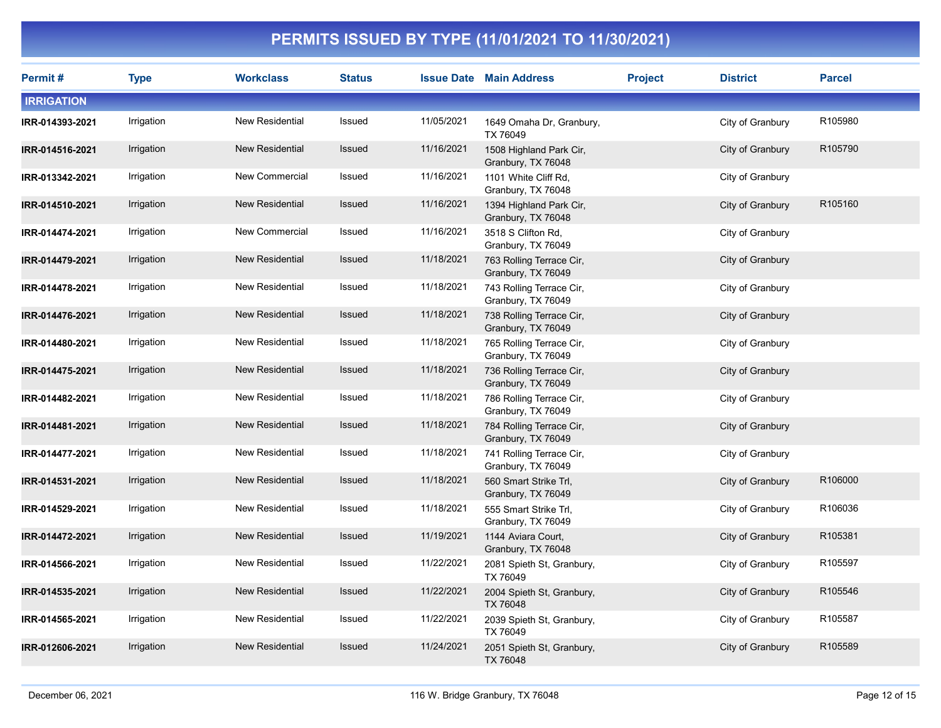| Permit #          | <b>Type</b> | <b>Workclass</b>       | <b>Status</b> |            | <b>Issue Date Main Address</b>                 | <b>Project</b> | <b>District</b>  | <b>Parcel</b> |
|-------------------|-------------|------------------------|---------------|------------|------------------------------------------------|----------------|------------------|---------------|
| <b>IRRIGATION</b> |             |                        |               |            |                                                |                |                  |               |
| IRR-014393-2021   | Irrigation  | New Residential        | Issued        | 11/05/2021 | 1649 Omaha Dr, Granbury,<br>TX 76049           |                | City of Granbury | R105980       |
| IRR-014516-2021   | Irrigation  | <b>New Residential</b> | <b>Issued</b> | 11/16/2021 | 1508 Highland Park Cir,<br>Granbury, TX 76048  |                | City of Granbury | R105790       |
| IRR-013342-2021   | Irrigation  | New Commercial         | Issued        | 11/16/2021 | 1101 White Cliff Rd,<br>Granbury, TX 76048     |                | City of Granbury |               |
| IRR-014510-2021   | Irrigation  | <b>New Residential</b> | Issued        | 11/16/2021 | 1394 Highland Park Cir,<br>Granbury, TX 76048  |                | City of Granbury | R105160       |
| IRR-014474-2021   | Irrigation  | New Commercial         | Issued        | 11/16/2021 | 3518 S Clifton Rd,<br>Granbury, TX 76049       |                | City of Granbury |               |
| IRR-014479-2021   | Irrigation  | New Residential        | Issued        | 11/18/2021 | 763 Rolling Terrace Cir,<br>Granbury, TX 76049 |                | City of Granbury |               |
| IRR-014478-2021   | Irrigation  | New Residential        | Issued        | 11/18/2021 | 743 Rolling Terrace Cir.<br>Granbury, TX 76049 |                | City of Granbury |               |
| IRR-014476-2021   | Irrigation  | New Residential        | Issued        | 11/18/2021 | 738 Rolling Terrace Cir,<br>Granbury, TX 76049 |                | City of Granbury |               |
| IRR-014480-2021   | Irrigation  | New Residential        | Issued        | 11/18/2021 | 765 Rolling Terrace Cir,<br>Granbury, TX 76049 |                | City of Granbury |               |
| IRR-014475-2021   | Irrigation  | New Residential        | <b>Issued</b> | 11/18/2021 | 736 Rolling Terrace Cir,<br>Granbury, TX 76049 |                | City of Granbury |               |
| IRR-014482-2021   | Irrigation  | New Residential        | Issued        | 11/18/2021 | 786 Rolling Terrace Cir,<br>Granbury, TX 76049 |                | City of Granbury |               |
| IRR-014481-2021   | Irrigation  | New Residential        | <b>Issued</b> | 11/18/2021 | 784 Rolling Terrace Cir,<br>Granbury, TX 76049 |                | City of Granbury |               |
| IRR-014477-2021   | Irrigation  | New Residential        | Issued        | 11/18/2021 | 741 Rolling Terrace Cir,<br>Granbury, TX 76049 |                | City of Granbury |               |
| IRR-014531-2021   | Irrigation  | <b>New Residential</b> | Issued        | 11/18/2021 | 560 Smart Strike Trl,<br>Granbury, TX 76049    |                | City of Granbury | R106000       |
| IRR-014529-2021   | Irrigation  | New Residential        | Issued        | 11/18/2021 | 555 Smart Strike Trl,<br>Granbury, TX 76049    |                | City of Granbury | R106036       |
| IRR-014472-2021   | Irrigation  | <b>New Residential</b> | Issued        | 11/19/2021 | 1144 Aviara Court,<br>Granbury, TX 76048       |                | City of Granbury | R105381       |
| IRR-014566-2021   | Irrigation  | New Residential        | Issued        | 11/22/2021 | 2081 Spieth St, Granbury,<br>TX 76049          |                | City of Granbury | R105597       |
| IRR-014535-2021   | Irrigation  | New Residential        | Issued        | 11/22/2021 | 2004 Spieth St, Granbury,<br>TX 76048          |                | City of Granbury | R105546       |
| IRR-014565-2021   | Irrigation  | New Residential        | Issued        | 11/22/2021 | 2039 Spieth St, Granbury,<br>TX 76049          |                | City of Granbury | R105587       |
| IRR-012606-2021   | Irrigation  | <b>New Residential</b> | Issued        | 11/24/2021 | 2051 Spieth St, Granbury,<br>TX 76048          |                | City of Granbury | R105589       |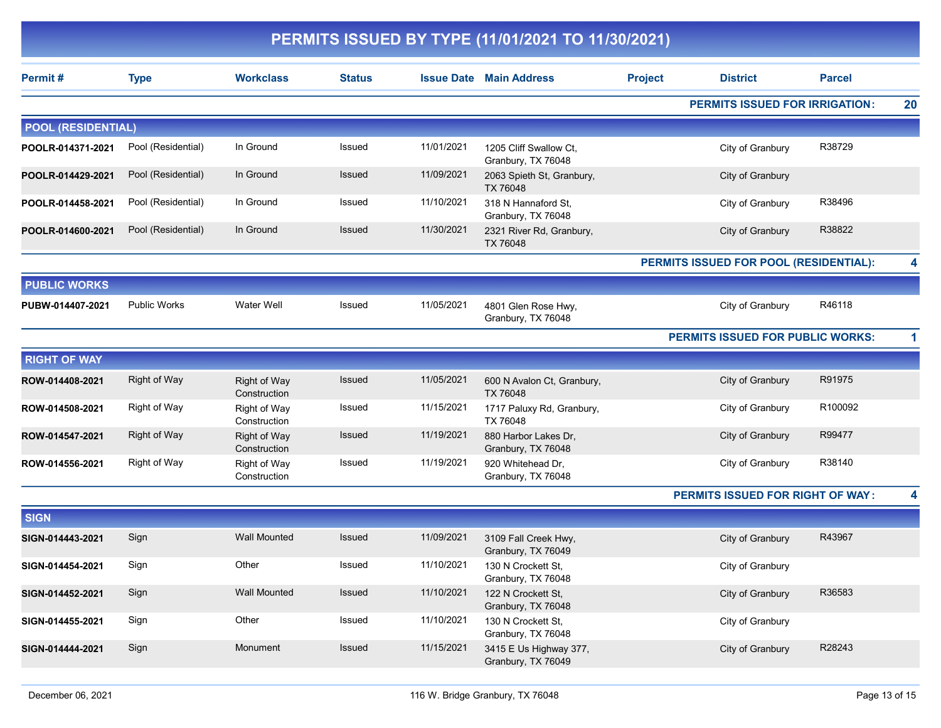|                           | PERMITS ISSUED BY TYPE (11/01/2021 TO 11/30/2021) |                                     |               |            |                                              |                |                                         |               |   |  |  |  |
|---------------------------|---------------------------------------------------|-------------------------------------|---------------|------------|----------------------------------------------|----------------|-----------------------------------------|---------------|---|--|--|--|
| Permit#                   | <b>Type</b>                                       | <b>Workclass</b>                    | <b>Status</b> |            | <b>Issue Date Main Address</b>               | <b>Project</b> | <b>District</b>                         | <b>Parcel</b> |   |  |  |  |
|                           |                                                   |                                     |               |            |                                              |                | <b>PERMITS ISSUED FOR IRRIGATION:</b>   |               |   |  |  |  |
| <b>POOL (RESIDENTIAL)</b> |                                                   |                                     |               |            |                                              |                |                                         |               |   |  |  |  |
| POOLR-014371-2021         | Pool (Residential)                                | In Ground                           | Issued        | 11/01/2021 | 1205 Cliff Swallow Ct,<br>Granbury, TX 76048 |                | City of Granbury                        | R38729        |   |  |  |  |
| POOLR-014429-2021         | Pool (Residential)                                | In Ground                           | <b>Issued</b> | 11/09/2021 | 2063 Spieth St, Granbury,<br>TX 76048        |                | City of Granbury                        |               |   |  |  |  |
| POOLR-014458-2021         | Pool (Residential)                                | In Ground                           | Issued        | 11/10/2021 | 318 N Hannaford St,<br>Granbury, TX 76048    |                | City of Granbury                        | R38496        |   |  |  |  |
| POOLR-014600-2021         | Pool (Residential)                                | In Ground                           | Issued        | 11/30/2021 | 2321 River Rd, Granbury,<br>TX 76048         |                | City of Granbury                        | R38822        |   |  |  |  |
|                           |                                                   |                                     |               |            |                                              |                | PERMITS ISSUED FOR POOL (RESIDENTIAL):  |               |   |  |  |  |
| <b>PUBLIC WORKS</b>       |                                                   |                                     |               |            |                                              |                |                                         |               |   |  |  |  |
| PUBW-014407-2021          | Public Works                                      | <b>Water Well</b>                   | Issued        | 11/05/2021 | 4801 Glen Rose Hwy,<br>Granbury, TX 76048    |                | City of Granbury                        | R46118        |   |  |  |  |
|                           |                                                   |                                     |               |            |                                              |                | PERMITS ISSUED FOR PUBLIC WORKS:        |               | 1 |  |  |  |
| <b>RIGHT OF WAY</b>       |                                                   |                                     |               |            |                                              |                |                                         |               |   |  |  |  |
| ROW-014408-2021           | <b>Right of Way</b>                               | <b>Right of Way</b><br>Construction | Issued        | 11/05/2021 | 600 N Avalon Ct, Granbury,<br>TX 76048       |                | City of Granbury                        | R91975        |   |  |  |  |
| ROW-014508-2021           | <b>Right of Way</b>                               | Right of Way<br>Construction        | Issued        | 11/15/2021 | 1717 Paluxy Rd, Granbury,<br>TX 76048        |                | City of Granbury                        | R100092       |   |  |  |  |
| ROW-014547-2021           | <b>Right of Way</b>                               | Right of Way<br>Construction        | Issued        | 11/19/2021 | 880 Harbor Lakes Dr,<br>Granbury, TX 76048   |                | City of Granbury                        | R99477        |   |  |  |  |
| ROW-014556-2021           | <b>Right of Way</b>                               | Right of Way<br>Construction        | Issued        | 11/19/2021 | 920 Whitehead Dr,<br>Granbury, TX 76048      |                | City of Granbury                        | R38140        |   |  |  |  |
|                           |                                                   |                                     |               |            |                                              |                | <b>PERMITS ISSUED FOR RIGHT OF WAY:</b> |               | 4 |  |  |  |
| <b>SIGN</b>               |                                                   |                                     |               |            |                                              |                |                                         |               |   |  |  |  |
| SIGN-014443-2021          | Sign                                              | <b>Wall Mounted</b>                 | Issued        | 11/09/2021 | 3109 Fall Creek Hwy,<br>Granbury, TX 76049   |                | City of Granbury                        | R43967        |   |  |  |  |
| SIGN-014454-2021          | Sign                                              | Other                               | Issued        | 11/10/2021 | 130 N Crockett St,<br>Granbury, TX 76048     |                | City of Granbury                        |               |   |  |  |  |
| SIGN-014452-2021          | Sign                                              | <b>Wall Mounted</b>                 | Issued        | 11/10/2021 | 122 N Crockett St,<br>Granbury, TX 76048     |                | City of Granbury                        | R36583        |   |  |  |  |
| SIGN-014455-2021          | Sign                                              | Other                               | Issued        | 11/10/2021 | 130 N Crockett St,<br>Granbury, TX 76048     |                | City of Granbury                        |               |   |  |  |  |
| SIGN-014444-2021          | Sign                                              | Monument                            | Issued        | 11/15/2021 | 3415 E Us Highway 377,<br>Granbury, TX 76049 |                | City of Granbury                        | R28243        |   |  |  |  |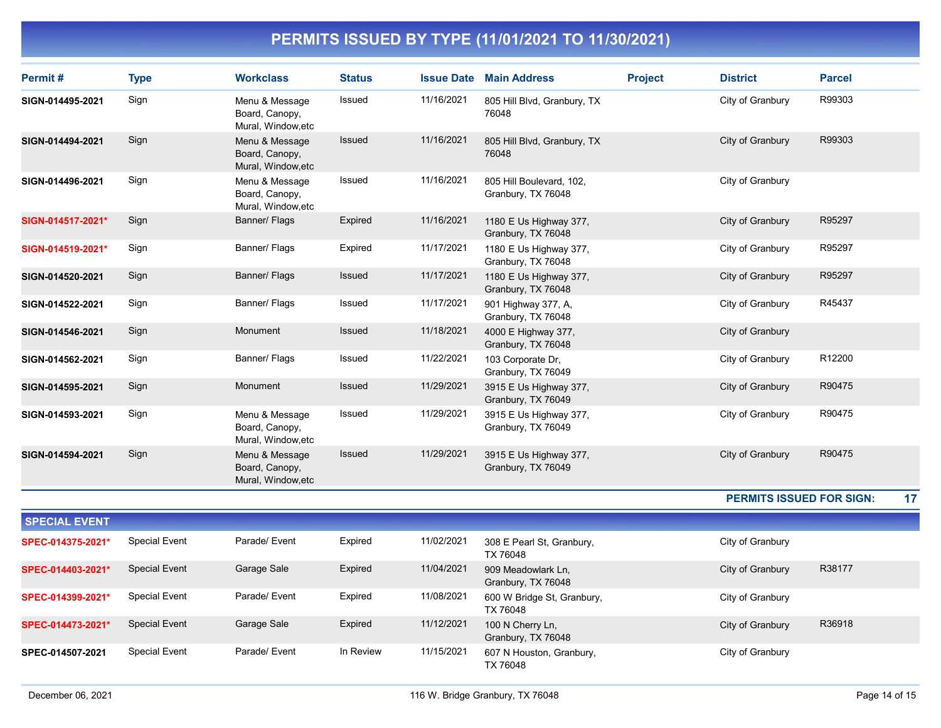| Permit#              | <b>Type</b>          | <b>Workclass</b>                                       | <b>Status</b> | <b>Issue Date</b> | <b>Main Address</b>                            | <b>Project</b> | <b>District</b>                 | <b>Parcel</b> |
|----------------------|----------------------|--------------------------------------------------------|---------------|-------------------|------------------------------------------------|----------------|---------------------------------|---------------|
| SIGN-014495-2021     | Sign                 | Menu & Message<br>Board, Canopy,<br>Mural, Window, etc | Issued        | 11/16/2021        | 805 Hill Blvd, Granbury, TX<br>76048           |                | City of Granbury                | R99303        |
| SIGN-014494-2021     | Sign                 | Menu & Message<br>Board, Canopy,<br>Mural, Window, etc | Issued        | 11/16/2021        | 805 Hill Blvd, Granbury, TX<br>76048           |                | City of Granbury                | R99303        |
| SIGN-014496-2021     | Sign                 | Menu & Message<br>Board, Canopy,<br>Mural, Window, etc | Issued        | 11/16/2021        | 805 Hill Boulevard, 102,<br>Granbury, TX 76048 |                | City of Granbury                |               |
| SIGN-014517-2021*    | Sign                 | Banner/ Flags                                          | Expired       | 11/16/2021        | 1180 E Us Highway 377,<br>Granbury, TX 76048   |                | City of Granbury                | R95297        |
| SIGN-014519-2021*    | Sign                 | Banner/ Flags                                          | Expired       | 11/17/2021        | 1180 E Us Highway 377,<br>Granbury, TX 76048   |                | City of Granbury                | R95297        |
| SIGN-014520-2021     | Sign                 | Banner/ Flags                                          | Issued        | 11/17/2021        | 1180 E Us Highway 377,<br>Granbury, TX 76048   |                | City of Granbury                | R95297        |
| SIGN-014522-2021     | Sign                 | Banner/ Flags                                          | Issued        | 11/17/2021        | 901 Highway 377, A,<br>Granbury, TX 76048      |                | City of Granbury                | R45437        |
| SIGN-014546-2021     | Sign                 | Monument                                               | Issued        | 11/18/2021        | 4000 E Highway 377,<br>Granbury, TX 76048      |                | City of Granbury                |               |
| SIGN-014562-2021     | Sign                 | Banner/ Flags                                          | Issued        | 11/22/2021        | 103 Corporate Dr,<br>Granbury, TX 76049        |                | City of Granbury                | R12200        |
| SIGN-014595-2021     | Sign                 | Monument                                               | Issued        | 11/29/2021        | 3915 E Us Highway 377,<br>Granbury, TX 76049   |                | City of Granbury                | R90475        |
| SIGN-014593-2021     | Sign                 | Menu & Message<br>Board, Canopy,<br>Mural, Window, etc | Issued        | 11/29/2021        | 3915 E Us Highway 377,<br>Granbury, TX 76049   |                | City of Granbury                | R90475        |
| SIGN-014594-2021     | Sign                 | Menu & Message<br>Board, Canopy,<br>Mural, Window, etc | Issued        | 11/29/2021        | 3915 E Us Highway 377,<br>Granbury, TX 76049   |                | City of Granbury                | R90475        |
|                      |                      |                                                        |               |                   |                                                |                | <b>PERMITS ISSUED FOR SIGN:</b> | 17            |
| <b>SPECIAL EVENT</b> |                      |                                                        |               |                   |                                                |                |                                 |               |
| SPEC-014375-2021*    | <b>Special Event</b> | Parade/ Event                                          | Expired       | 11/02/2021        | 308 E Pearl St, Granbury,<br>TX 76048          |                | City of Granbury                |               |
| SPEC-014403-2021*    | <b>Special Event</b> | Garage Sale                                            | Expired       | 11/04/2021        | 909 Meadowlark Ln,<br>Granbury, TX 76048       |                | City of Granbury                | R38177        |
| SPEC-014399-2021*    | <b>Special Event</b> | Parade/ Event                                          | Expired       | 11/08/2021        | 600 W Bridge St, Granbury,<br>TX 76048         |                | City of Granbury                |               |
| SPEC-014473-2021*    | <b>Special Event</b> | Garage Sale                                            | Expired       | 11/12/2021        | 100 N Cherry Ln,<br>Granbury, TX 76048         |                | City of Granbury                | R36918        |

TX 76048

SPEC-014507-2021 Special Event Parade/ Event In Review 11/15/2021 607 N Houston, Granbury, City of Granbury